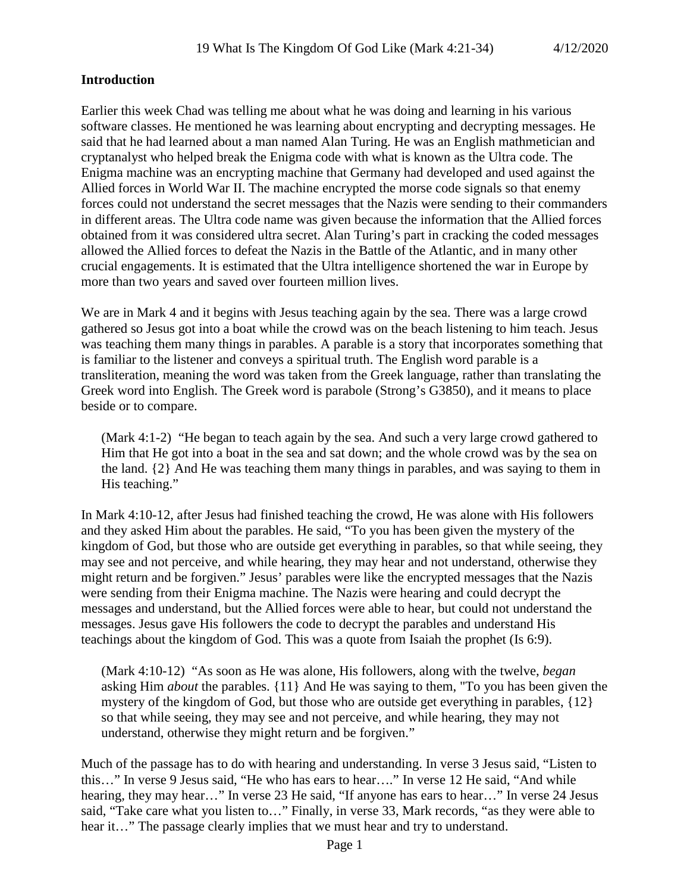### **Introduction**

Earlier this week Chad was telling me about what he was doing and learning in his various software classes. He mentioned he was learning about encrypting and decrypting messages. He said that he had learned about a man named Alan Turing. He was an English mathmetician and cryptanalyst who helped break the Enigma code with what is known as the Ultra code. The Enigma machine was an encrypting machine that Germany had developed and used against the Allied forces in World War II. The machine encrypted the morse code signals so that enemy forces could not understand the secret messages that the Nazis were sending to their commanders in different areas. The Ultra code name was given because the information that the Allied forces obtained from it was considered ultra secret. Alan Turing's part in cracking the coded messages allowed the Allied forces to defeat the Nazis in the Battle of the Atlantic, and in many other crucial engagements. It is estimated that the Ultra intelligence shortened the war in Europe by more than two years and saved over fourteen million lives.

We are in Mark 4 and it begins with Jesus teaching again by the sea. There was a large crowd gathered so Jesus got into a boat while the crowd was on the beach listening to him teach. Jesus was teaching them many things in parables. A parable is a story that incorporates something that is familiar to the listener and conveys a spiritual truth. The English word parable is a transliteration, meaning the word was taken from the Greek language, rather than translating the Greek word into English. The Greek word is parabole (Strong's G3850), and it means to place beside or to compare.

(Mark 4:1-2) "He began to teach again by the sea. And such a very large crowd gathered to Him that He got into a boat in the sea and sat down; and the whole crowd was by the sea on the land. {2} And He was teaching them many things in parables, and was saying to them in His teaching."

In Mark 4:10-12, after Jesus had finished teaching the crowd, He was alone with His followers and they asked Him about the parables. He said, "To you has been given the mystery of the kingdom of God, but those who are outside get everything in parables, so that while seeing, they may see and not perceive, and while hearing, they may hear and not understand, otherwise they might return and be forgiven." Jesus' parables were like the encrypted messages that the Nazis were sending from their Enigma machine. The Nazis were hearing and could decrypt the messages and understand, but the Allied forces were able to hear, but could not understand the messages. Jesus gave His followers the code to decrypt the parables and understand His teachings about the kingdom of God. This was a quote from Isaiah the prophet (Is 6:9).

(Mark 4:10-12) "As soon as He was alone, His followers, along with the twelve, *began* asking Him *about* the parables. {11} And He was saying to them, "To you has been given the mystery of the kingdom of God, but those who are outside get everything in parables, {12} so that while seeing, they may see and not perceive, and while hearing, they may not understand, otherwise they might return and be forgiven."

Much of the passage has to do with hearing and understanding. In verse 3 Jesus said, "Listen to this…" In verse 9 Jesus said, "He who has ears to hear…." In verse 12 He said, "And while hearing, they may hear..." In verse 23 He said, "If anyone has ears to hear..." In verse 24 Jesus said, "Take care what you listen to…" Finally, in verse 33, Mark records, "as they were able to hear it..." The passage clearly implies that we must hear and try to understand.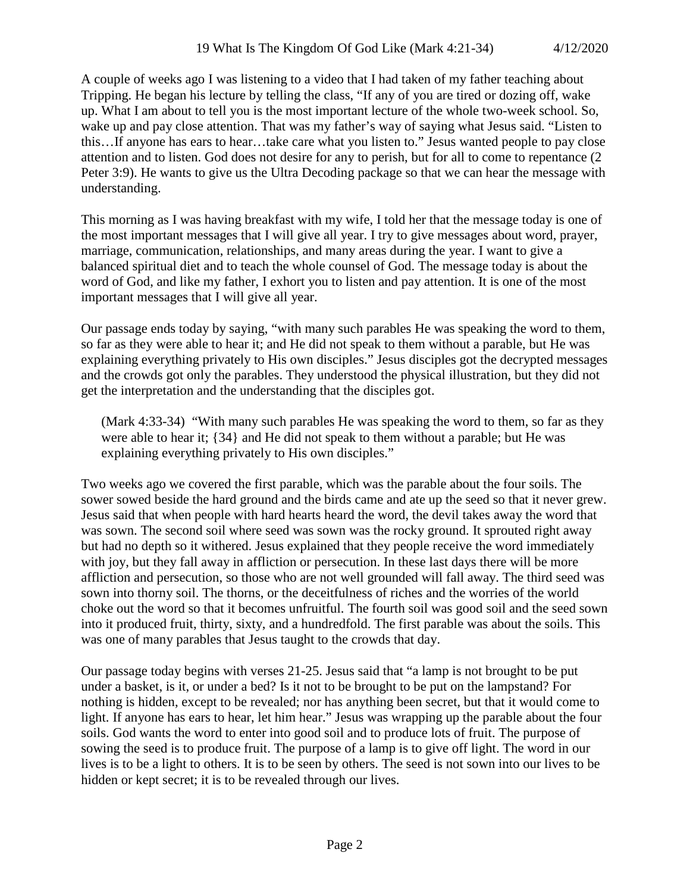A couple of weeks ago I was listening to a video that I had taken of my father teaching about Tripping. He began his lecture by telling the class, "If any of you are tired or dozing off, wake up. What I am about to tell you is the most important lecture of the whole two-week school. So, wake up and pay close attention. That was my father's way of saying what Jesus said. "Listen to this…If anyone has ears to hear…take care what you listen to." Jesus wanted people to pay close attention and to listen. God does not desire for any to perish, but for all to come to repentance (2 Peter 3:9). He wants to give us the Ultra Decoding package so that we can hear the message with understanding.

This morning as I was having breakfast with my wife, I told her that the message today is one of the most important messages that I will give all year. I try to give messages about word, prayer, marriage, communication, relationships, and many areas during the year. I want to give a balanced spiritual diet and to teach the whole counsel of God. The message today is about the word of God, and like my father, I exhort you to listen and pay attention. It is one of the most important messages that I will give all year.

Our passage ends today by saying, "with many such parables He was speaking the word to them, so far as they were able to hear it; and He did not speak to them without a parable, but He was explaining everything privately to His own disciples." Jesus disciples got the decrypted messages and the crowds got only the parables. They understood the physical illustration, but they did not get the interpretation and the understanding that the disciples got.

(Mark 4:33-34) "With many such parables He was speaking the word to them, so far as they were able to hear it; {34} and He did not speak to them without a parable; but He was explaining everything privately to His own disciples."

Two weeks ago we covered the first parable, which was the parable about the four soils. The sower sowed beside the hard ground and the birds came and ate up the seed so that it never grew. Jesus said that when people with hard hearts heard the word, the devil takes away the word that was sown. The second soil where seed was sown was the rocky ground. It sprouted right away but had no depth so it withered. Jesus explained that they people receive the word immediately with joy, but they fall away in affliction or persecution. In these last days there will be more affliction and persecution, so those who are not well grounded will fall away. The third seed was sown into thorny soil. The thorns, or the deceitfulness of riches and the worries of the world choke out the word so that it becomes unfruitful. The fourth soil was good soil and the seed sown into it produced fruit, thirty, sixty, and a hundredfold. The first parable was about the soils. This was one of many parables that Jesus taught to the crowds that day.

Our passage today begins with verses 21-25. Jesus said that "a lamp is not brought to be put under a basket, is it, or under a bed? Is it not to be brought to be put on the lampstand? For nothing is hidden, except to be revealed; nor has anything been secret, but that it would come to light. If anyone has ears to hear, let him hear." Jesus was wrapping up the parable about the four soils. God wants the word to enter into good soil and to produce lots of fruit. The purpose of sowing the seed is to produce fruit. The purpose of a lamp is to give off light. The word in our lives is to be a light to others. It is to be seen by others. The seed is not sown into our lives to be hidden or kept secret; it is to be revealed through our lives.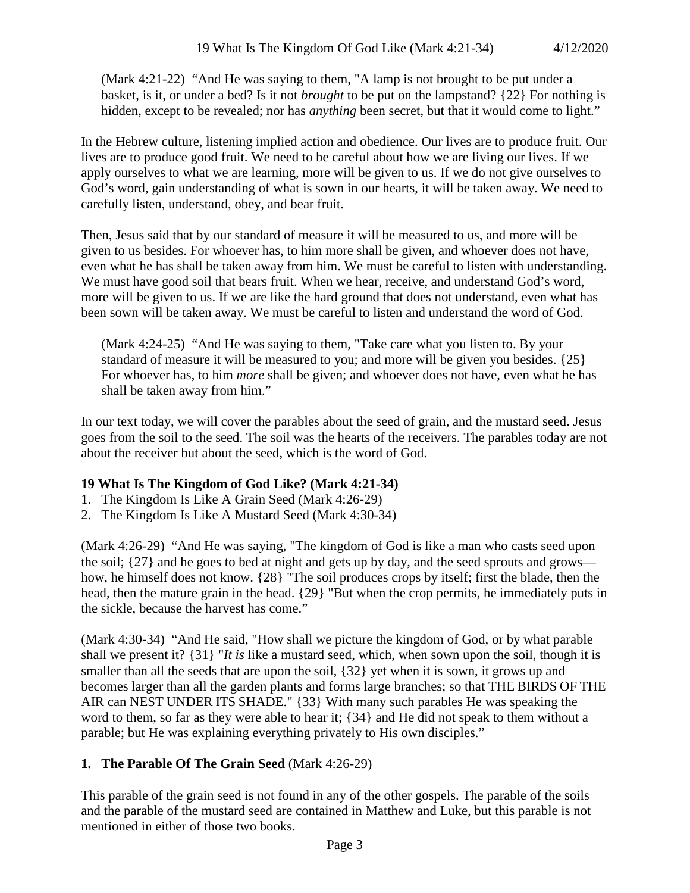(Mark 4:21-22) "And He was saying to them, "A lamp is not brought to be put under a basket, is it, or under a bed? Is it not *brought* to be put on the lampstand? {22} For nothing is hidden, except to be revealed; nor has *anything* been secret, but that it would come to light."

In the Hebrew culture, listening implied action and obedience. Our lives are to produce fruit. Our lives are to produce good fruit. We need to be careful about how we are living our lives. If we apply ourselves to what we are learning, more will be given to us. If we do not give ourselves to God's word, gain understanding of what is sown in our hearts, it will be taken away. We need to carefully listen, understand, obey, and bear fruit.

Then, Jesus said that by our standard of measure it will be measured to us, and more will be given to us besides. For whoever has, to him more shall be given, and whoever does not have, even what he has shall be taken away from him. We must be careful to listen with understanding. We must have good soil that bears fruit. When we hear, receive, and understand God's word, more will be given to us. If we are like the hard ground that does not understand, even what has been sown will be taken away. We must be careful to listen and understand the word of God.

(Mark 4:24-25) "And He was saying to them, "Take care what you listen to. By your standard of measure it will be measured to you; and more will be given you besides. {25} For whoever has, to him *more* shall be given; and whoever does not have, even what he has shall be taken away from him."

In our text today, we will cover the parables about the seed of grain, and the mustard seed. Jesus goes from the soil to the seed. The soil was the hearts of the receivers. The parables today are not about the receiver but about the seed, which is the word of God.

#### **19 What Is The Kingdom of God Like? (Mark 4:21-34)**

- 1. The Kingdom Is Like A Grain Seed (Mark 4:26-29)
- 2. The Kingdom Is Like A Mustard Seed (Mark 4:30-34)

(Mark 4:26-29) "And He was saying, "The kingdom of God is like a man who casts seed upon the soil; {27} and he goes to bed at night and gets up by day, and the seed sprouts and grows how, he himself does not know. {28} "The soil produces crops by itself; first the blade, then the head, then the mature grain in the head. {29} "But when the crop permits, he immediately puts in the sickle, because the harvest has come."

(Mark 4:30-34) "And He said, "How shall we picture the kingdom of God, or by what parable shall we present it? {31} "*It is* like a mustard seed, which, when sown upon the soil, though it is smaller than all the seeds that are upon the soil, {32} yet when it is sown, it grows up and becomes larger than all the garden plants and forms large branches; so that THE BIRDS OF THE AIR can NEST UNDER ITS SHADE." {33} With many such parables He was speaking the word to them, so far as they were able to hear it; {34} and He did not speak to them without a parable; but He was explaining everything privately to His own disciples."

## **1. The Parable Of The Grain Seed** (Mark 4:26-29)

This parable of the grain seed is not found in any of the other gospels. The parable of the soils and the parable of the mustard seed are contained in Matthew and Luke, but this parable is not mentioned in either of those two books.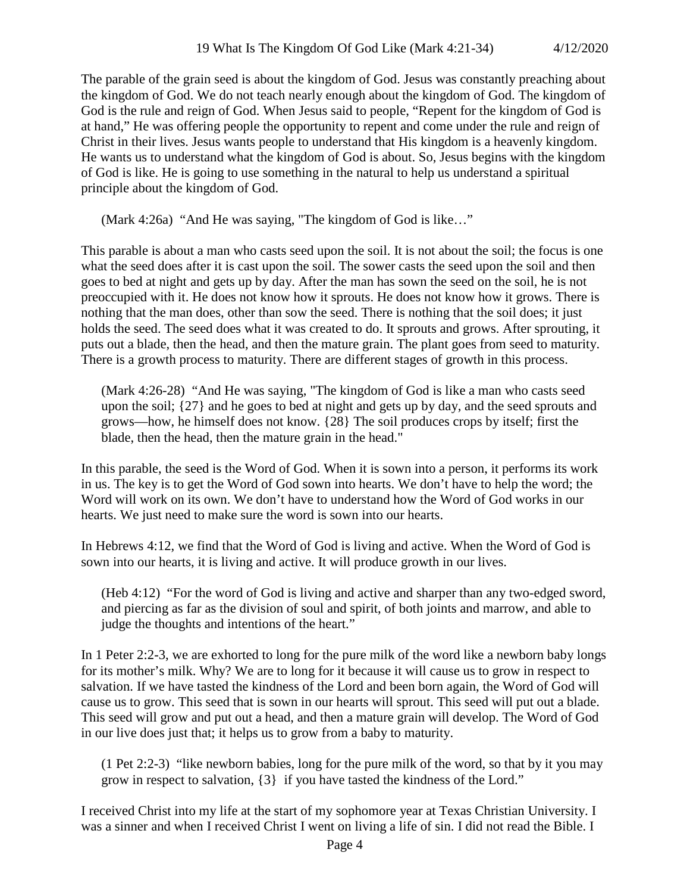The parable of the grain seed is about the kingdom of God. Jesus was constantly preaching about the kingdom of God. We do not teach nearly enough about the kingdom of God. The kingdom of God is the rule and reign of God. When Jesus said to people, "Repent for the kingdom of God is at hand," He was offering people the opportunity to repent and come under the rule and reign of Christ in their lives. Jesus wants people to understand that His kingdom is a heavenly kingdom. He wants us to understand what the kingdom of God is about. So, Jesus begins with the kingdom of God is like. He is going to use something in the natural to help us understand a spiritual principle about the kingdom of God.

(Mark 4:26a) "And He was saying, "The kingdom of God is like…"

This parable is about a man who casts seed upon the soil. It is not about the soil; the focus is one what the seed does after it is cast upon the soil. The sower casts the seed upon the soil and then goes to bed at night and gets up by day. After the man has sown the seed on the soil, he is not preoccupied with it. He does not know how it sprouts. He does not know how it grows. There is nothing that the man does, other than sow the seed. There is nothing that the soil does; it just holds the seed. The seed does what it was created to do. It sprouts and grows. After sprouting, it puts out a blade, then the head, and then the mature grain. The plant goes from seed to maturity. There is a growth process to maturity. There are different stages of growth in this process.

(Mark 4:26-28) "And He was saying, "The kingdom of God is like a man who casts seed upon the soil; {27} and he goes to bed at night and gets up by day, and the seed sprouts and grows—how, he himself does not know. {28} The soil produces crops by itself; first the blade, then the head, then the mature grain in the head."

In this parable, the seed is the Word of God. When it is sown into a person, it performs its work in us. The key is to get the Word of God sown into hearts. We don't have to help the word; the Word will work on its own. We don't have to understand how the Word of God works in our hearts. We just need to make sure the word is sown into our hearts.

In Hebrews 4:12, we find that the Word of God is living and active. When the Word of God is sown into our hearts, it is living and active. It will produce growth in our lives.

(Heb 4:12) "For the word of God is living and active and sharper than any two-edged sword, and piercing as far as the division of soul and spirit, of both joints and marrow, and able to judge the thoughts and intentions of the heart."

In 1 Peter 2:2-3, we are exhorted to long for the pure milk of the word like a newborn baby longs for its mother's milk. Why? We are to long for it because it will cause us to grow in respect to salvation. If we have tasted the kindness of the Lord and been born again, the Word of God will cause us to grow. This seed that is sown in our hearts will sprout. This seed will put out a blade. This seed will grow and put out a head, and then a mature grain will develop. The Word of God in our live does just that; it helps us to grow from a baby to maturity.

(1 Pet 2:2-3) "like newborn babies, long for the pure milk of the word, so that by it you may grow in respect to salvation, {3} if you have tasted the kindness of the Lord."

I received Christ into my life at the start of my sophomore year at Texas Christian University. I was a sinner and when I received Christ I went on living a life of sin. I did not read the Bible. I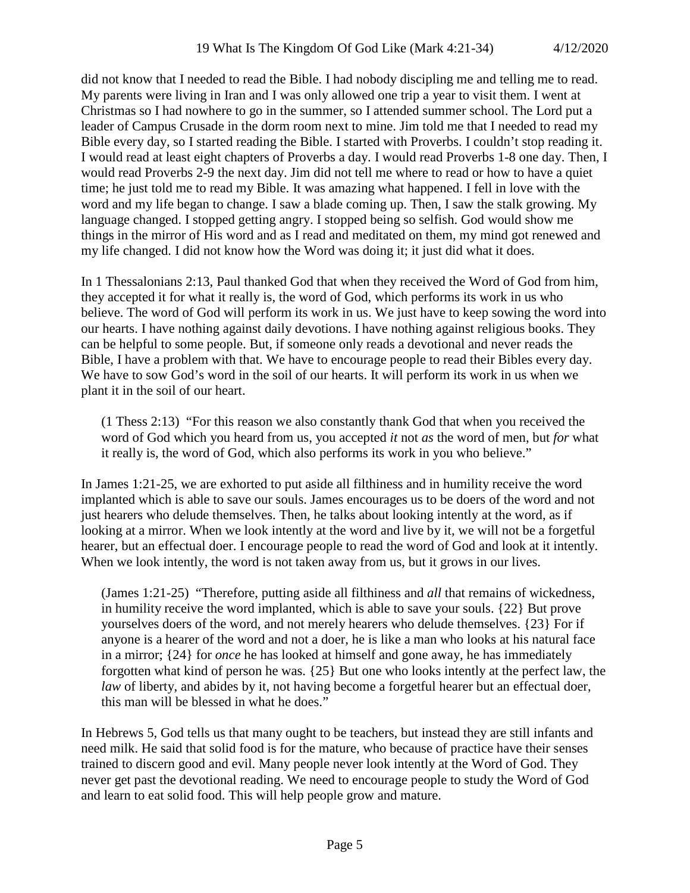did not know that I needed to read the Bible. I had nobody discipling me and telling me to read. My parents were living in Iran and I was only allowed one trip a year to visit them. I went at Christmas so I had nowhere to go in the summer, so I attended summer school. The Lord put a leader of Campus Crusade in the dorm room next to mine. Jim told me that I needed to read my Bible every day, so I started reading the Bible. I started with Proverbs. I couldn't stop reading it. I would read at least eight chapters of Proverbs a day. I would read Proverbs 1-8 one day. Then, I would read Proverbs 2-9 the next day. Jim did not tell me where to read or how to have a quiet time; he just told me to read my Bible. It was amazing what happened. I fell in love with the word and my life began to change. I saw a blade coming up. Then, I saw the stalk growing. My language changed. I stopped getting angry. I stopped being so selfish. God would show me things in the mirror of His word and as I read and meditated on them, my mind got renewed and my life changed. I did not know how the Word was doing it; it just did what it does.

In 1 Thessalonians 2:13, Paul thanked God that when they received the Word of God from him, they accepted it for what it really is, the word of God, which performs its work in us who believe. The word of God will perform its work in us. We just have to keep sowing the word into our hearts. I have nothing against daily devotions. I have nothing against religious books. They can be helpful to some people. But, if someone only reads a devotional and never reads the Bible, I have a problem with that. We have to encourage people to read their Bibles every day. We have to sow God's word in the soil of our hearts. It will perform its work in us when we plant it in the soil of our heart.

(1 Thess 2:13) "For this reason we also constantly thank God that when you received the word of God which you heard from us, you accepted *it* not *as* the word of men, but *for* what it really is, the word of God, which also performs its work in you who believe."

In James 1:21-25, we are exhorted to put aside all filthiness and in humility receive the word implanted which is able to save our souls. James encourages us to be doers of the word and not just hearers who delude themselves. Then, he talks about looking intently at the word, as if looking at a mirror. When we look intently at the word and live by it, we will not be a forgetful hearer, but an effectual doer. I encourage people to read the word of God and look at it intently. When we look intently, the word is not taken away from us, but it grows in our lives.

(James 1:21-25) "Therefore, putting aside all filthiness and *all* that remains of wickedness, in humility receive the word implanted, which is able to save your souls. {22} But prove yourselves doers of the word, and not merely hearers who delude themselves. {23} For if anyone is a hearer of the word and not a doer, he is like a man who looks at his natural face in a mirror; {24} for *once* he has looked at himself and gone away, he has immediately forgotten what kind of person he was. {25} But one who looks intently at the perfect law, the *law* of liberty, and abides by it, not having become a forgetful hearer but an effectual doer, this man will be blessed in what he does."

In Hebrews 5, God tells us that many ought to be teachers, but instead they are still infants and need milk. He said that solid food is for the mature, who because of practice have their senses trained to discern good and evil. Many people never look intently at the Word of God. They never get past the devotional reading. We need to encourage people to study the Word of God and learn to eat solid food. This will help people grow and mature.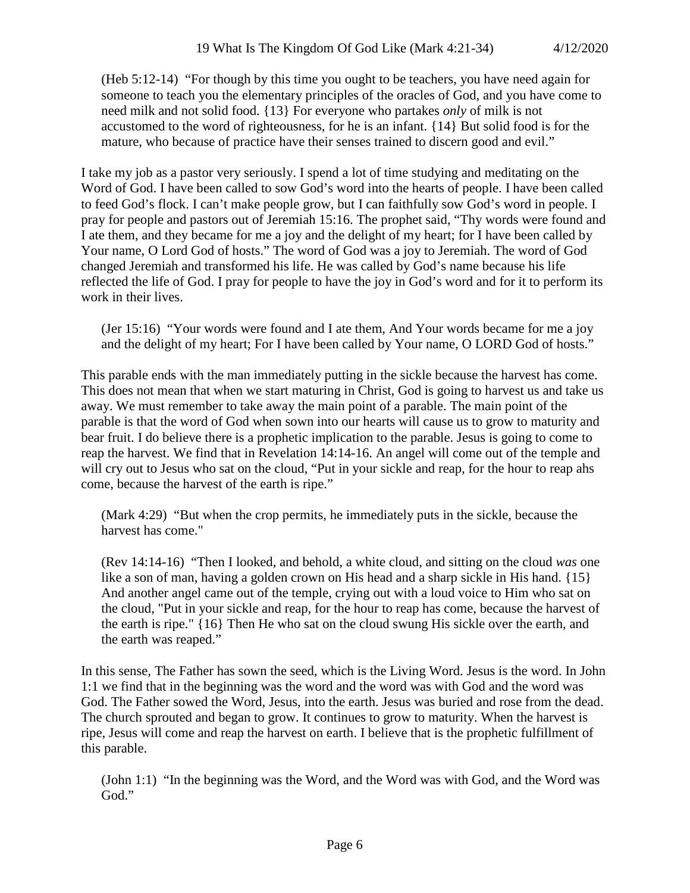(Heb 5:12-14) "For though by this time you ought to be teachers, you have need again for someone to teach you the elementary principles of the oracles of God, and you have come to need milk and not solid food. {13} For everyone who partakes *only* of milk is not accustomed to the word of righteousness, for he is an infant. {14} But solid food is for the mature, who because of practice have their senses trained to discern good and evil."

I take my job as a pastor very seriously. I spend a lot of time studying and meditating on the Word of God. I have been called to sow God's word into the hearts of people. I have been called to feed God's flock. I can't make people grow, but I can faithfully sow God's word in people. I pray for people and pastors out of Jeremiah 15:16. The prophet said, "Thy words were found and I ate them, and they became for me a joy and the delight of my heart; for I have been called by Your name, O Lord God of hosts." The word of God was a joy to Jeremiah. The word of God changed Jeremiah and transformed his life. He was called by God's name because his life reflected the life of God. I pray for people to have the joy in God's word and for it to perform its work in their lives.

(Jer 15:16) "Your words were found and I ate them, And Your words became for me a joy and the delight of my heart; For I have been called by Your name, O LORD God of hosts."

This parable ends with the man immediately putting in the sickle because the harvest has come. This does not mean that when we start maturing in Christ, God is going to harvest us and take us away. We must remember to take away the main point of a parable. The main point of the parable is that the word of God when sown into our hearts will cause us to grow to maturity and bear fruit. I do believe there is a prophetic implication to the parable. Jesus is going to come to reap the harvest. We find that in Revelation 14:14-16. An angel will come out of the temple and will cry out to Jesus who sat on the cloud, "Put in your sickle and reap, for the hour to reap ahs come, because the harvest of the earth is ripe."

(Mark 4:29) "But when the crop permits, he immediately puts in the sickle, because the harvest has come."

(Rev 14:14-16) "Then I looked, and behold, a white cloud, and sitting on the cloud *was* one like a son of man, having a golden crown on His head and a sharp sickle in His hand. {15} And another angel came out of the temple, crying out with a loud voice to Him who sat on the cloud, "Put in your sickle and reap, for the hour to reap has come, because the harvest of the earth is ripe." {16} Then He who sat on the cloud swung His sickle over the earth, and the earth was reaped."

In this sense, The Father has sown the seed, which is the Living Word. Jesus is the word. In John 1:1 we find that in the beginning was the word and the word was with God and the word was God. The Father sowed the Word, Jesus, into the earth. Jesus was buried and rose from the dead. The church sprouted and began to grow. It continues to grow to maturity. When the harvest is ripe, Jesus will come and reap the harvest on earth. I believe that is the prophetic fulfillment of this parable.

(John 1:1) "In the beginning was the Word, and the Word was with God, and the Word was God."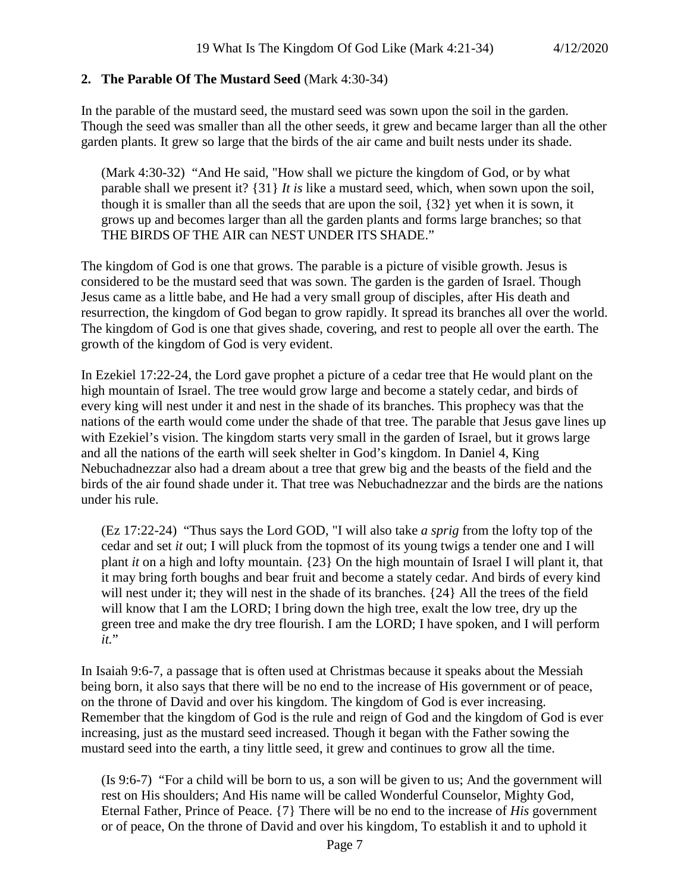#### **2. The Parable Of The Mustard Seed** (Mark 4:30-34)

In the parable of the mustard seed, the mustard seed was sown upon the soil in the garden. Though the seed was smaller than all the other seeds, it grew and became larger than all the other garden plants. It grew so large that the birds of the air came and built nests under its shade.

(Mark 4:30-32) "And He said, "How shall we picture the kingdom of God, or by what parable shall we present it? {31} *It is* like a mustard seed, which, when sown upon the soil, though it is smaller than all the seeds that are upon the soil, {32} yet when it is sown, it grows up and becomes larger than all the garden plants and forms large branches; so that THE BIRDS OF THE AIR can NEST UNDER ITS SHADE."

The kingdom of God is one that grows. The parable is a picture of visible growth. Jesus is considered to be the mustard seed that was sown. The garden is the garden of Israel. Though Jesus came as a little babe, and He had a very small group of disciples, after His death and resurrection, the kingdom of God began to grow rapidly. It spread its branches all over the world. The kingdom of God is one that gives shade, covering, and rest to people all over the earth. The growth of the kingdom of God is very evident.

In Ezekiel 17:22-24, the Lord gave prophet a picture of a cedar tree that He would plant on the high mountain of Israel. The tree would grow large and become a stately cedar, and birds of every king will nest under it and nest in the shade of its branches. This prophecy was that the nations of the earth would come under the shade of that tree. The parable that Jesus gave lines up with Ezekiel's vision. The kingdom starts very small in the garden of Israel, but it grows large and all the nations of the earth will seek shelter in God's kingdom. In Daniel 4, King Nebuchadnezzar also had a dream about a tree that grew big and the beasts of the field and the birds of the air found shade under it. That tree was Nebuchadnezzar and the birds are the nations under his rule.

(Ez 17:22-24) "Thus says the Lord GOD, "I will also take *a sprig* from the lofty top of the cedar and set *it* out; I will pluck from the topmost of its young twigs a tender one and I will plant *it* on a high and lofty mountain. {23} On the high mountain of Israel I will plant it, that it may bring forth boughs and bear fruit and become a stately cedar. And birds of every kind will nest under it; they will nest in the shade of its branches. {24} All the trees of the field will know that I am the LORD; I bring down the high tree, exalt the low tree, dry up the green tree and make the dry tree flourish. I am the LORD; I have spoken, and I will perform *it.*"

In Isaiah 9:6-7, a passage that is often used at Christmas because it speaks about the Messiah being born, it also says that there will be no end to the increase of His government or of peace, on the throne of David and over his kingdom. The kingdom of God is ever increasing. Remember that the kingdom of God is the rule and reign of God and the kingdom of God is ever increasing, just as the mustard seed increased. Though it began with the Father sowing the mustard seed into the earth, a tiny little seed, it grew and continues to grow all the time.

(Is 9:6-7) "For a child will be born to us, a son will be given to us; And the government will rest on His shoulders; And His name will be called Wonderful Counselor, Mighty God, Eternal Father, Prince of Peace. {7} There will be no end to the increase of *His* government or of peace, On the throne of David and over his kingdom, To establish it and to uphold it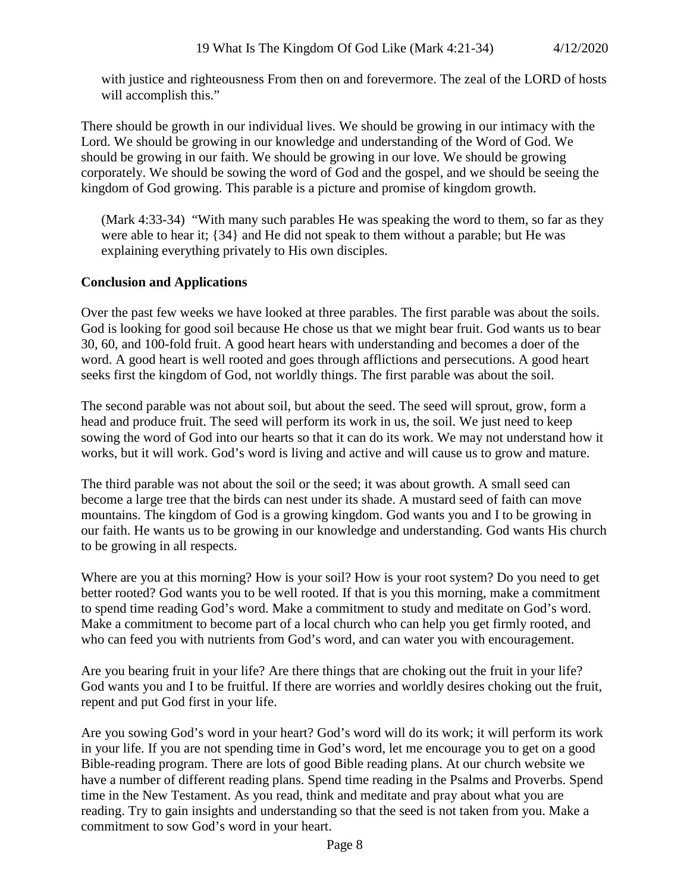with justice and righteousness From then on and forevermore. The zeal of the LORD of hosts will accomplish this."

There should be growth in our individual lives. We should be growing in our intimacy with the Lord. We should be growing in our knowledge and understanding of the Word of God. We should be growing in our faith. We should be growing in our love. We should be growing corporately. We should be sowing the word of God and the gospel, and we should be seeing the kingdom of God growing. This parable is a picture and promise of kingdom growth.

(Mark 4:33-34) "With many such parables He was speaking the word to them, so far as they were able to hear it; {34} and He did not speak to them without a parable; but He was explaining everything privately to His own disciples.

# **Conclusion and Applications**

Over the past few weeks we have looked at three parables. The first parable was about the soils. God is looking for good soil because He chose us that we might bear fruit. God wants us to bear 30, 60, and 100-fold fruit. A good heart hears with understanding and becomes a doer of the word. A good heart is well rooted and goes through afflictions and persecutions. A good heart seeks first the kingdom of God, not worldly things. The first parable was about the soil.

The second parable was not about soil, but about the seed. The seed will sprout, grow, form a head and produce fruit. The seed will perform its work in us, the soil. We just need to keep sowing the word of God into our hearts so that it can do its work. We may not understand how it works, but it will work. God's word is living and active and will cause us to grow and mature.

The third parable was not about the soil or the seed; it was about growth. A small seed can become a large tree that the birds can nest under its shade. A mustard seed of faith can move mountains. The kingdom of God is a growing kingdom. God wants you and I to be growing in our faith. He wants us to be growing in our knowledge and understanding. God wants His church to be growing in all respects.

Where are you at this morning? How is your soil? How is your root system? Do you need to get better rooted? God wants you to be well rooted. If that is you this morning, make a commitment to spend time reading God's word. Make a commitment to study and meditate on God's word. Make a commitment to become part of a local church who can help you get firmly rooted, and who can feed you with nutrients from God's word, and can water you with encouragement.

Are you bearing fruit in your life? Are there things that are choking out the fruit in your life? God wants you and I to be fruitful. If there are worries and worldly desires choking out the fruit, repent and put God first in your life.

Are you sowing God's word in your heart? God's word will do its work; it will perform its work in your life. If you are not spending time in God's word, let me encourage you to get on a good Bible-reading program. There are lots of good Bible reading plans. At our church website we have a number of different reading plans. Spend time reading in the Psalms and Proverbs. Spend time in the New Testament. As you read, think and meditate and pray about what you are reading. Try to gain insights and understanding so that the seed is not taken from you. Make a commitment to sow God's word in your heart.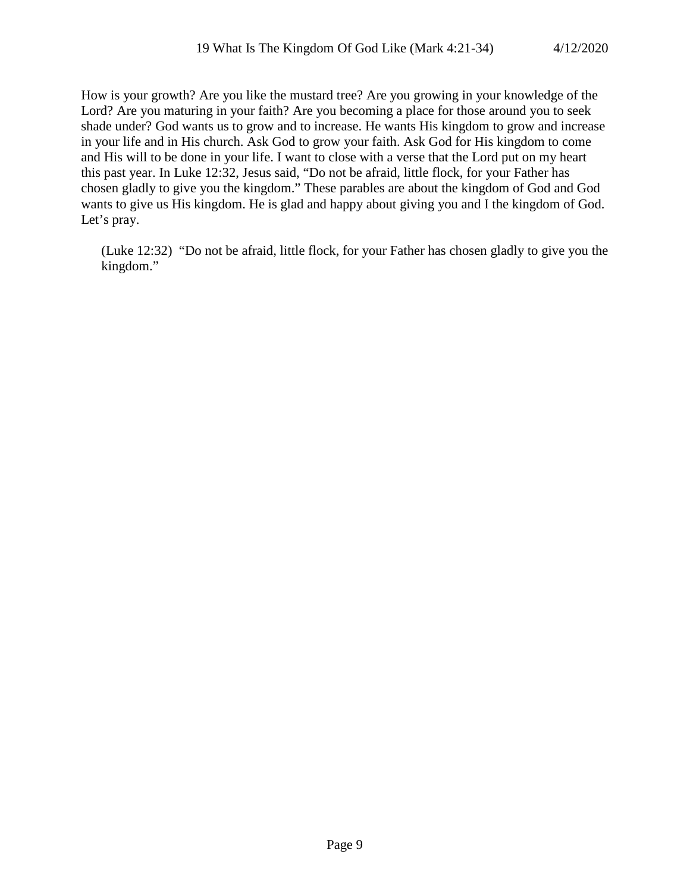How is your growth? Are you like the mustard tree? Are you growing in your knowledge of the Lord? Are you maturing in your faith? Are you becoming a place for those around you to seek shade under? God wants us to grow and to increase. He wants His kingdom to grow and increase in your life and in His church. Ask God to grow your faith. Ask God for His kingdom to come and His will to be done in your life. I want to close with a verse that the Lord put on my heart this past year. In Luke 12:32, Jesus said, "Do not be afraid, little flock, for your Father has chosen gladly to give you the kingdom." These parables are about the kingdom of God and God wants to give us His kingdom. He is glad and happy about giving you and I the kingdom of God. Let's pray.

(Luke 12:32) "Do not be afraid, little flock, for your Father has chosen gladly to give you the kingdom."